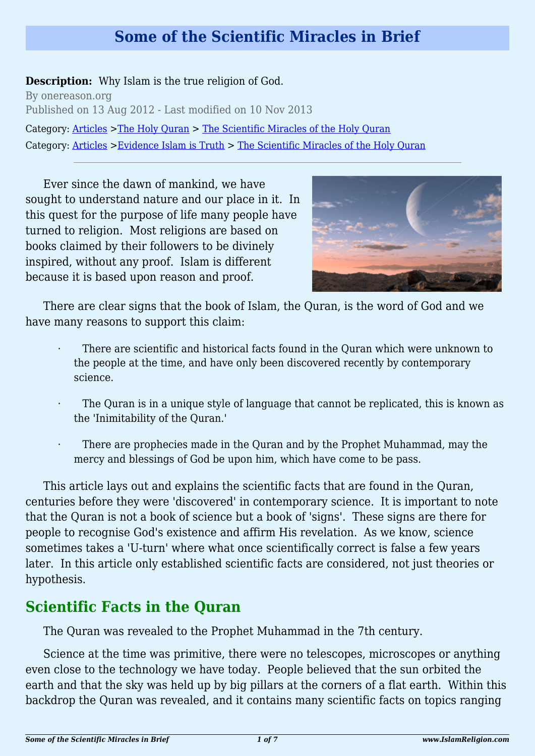## **Some of the Scientific Miracles in Brief**

**Description:** Why Islam is the true religion of God.

By onereason.org Published on 13 Aug 2012 - Last modified on 10 Nov 2013 Category: [Articles](http://www.islamreligion.com/articles/) >[The Holy Quran](http://www.islamreligion.com/category/75/) > [The Scientific Miracles of the Holy Quran](http://www.islamreligion.com/category/122/) Category: [Articles](http://www.islamreligion.com/articles/) >[Evidence Islam is Truth](http://www.islamreligion.com/category/33/) > [The Scientific Miracles of the Holy Quran](http://www.islamreligion.com/category/34/)

Ever since the dawn of mankind, we have sought to understand nature and our place in it. In this quest for the purpose of life many people have turned to religion. Most religions are based on books claimed by their followers to be divinely inspired, without any proof. Islam is different because it is based upon reason and proof.



There are clear signs that the book of Islam, the Quran, is the word of God and we have many reasons to support this claim:

- There are scientific and historical facts found in the Quran which were unknown to the people at the time, and have only been discovered recently by contemporary science.
- The Quran is in a unique style of language that cannot be replicated, this is known as the 'Inimitability of the Quran.'
- There are prophecies made in the Quran and by the Prophet Muhammad, may the mercy and blessings of God be upon him, which have come to be pass.

This article lays out and explains the scientific facts that are found in the Quran, centuries before they were 'discovered' in contemporary science. It is important to note that the Quran is not a book of science but a book of 'signs'. These signs are there for people to recognise God's existence and affirm His revelation. As we know, science sometimes takes a 'U-turn' where what once scientifically correct is false a few years later. In this article only established scientific facts are considered, not just theories or hypothesis.

# **Scientific Facts in the Quran**

The Quran was revealed to the Prophet Muhammad in the 7th century.

Science at the time was primitive, there were no telescopes, microscopes or anything even close to the technology we have today. People believed that the sun orbited the earth and that the sky was held up by big pillars at the corners of a flat earth. Within this backdrop the Quran was revealed, and it contains many scientific facts on topics ranging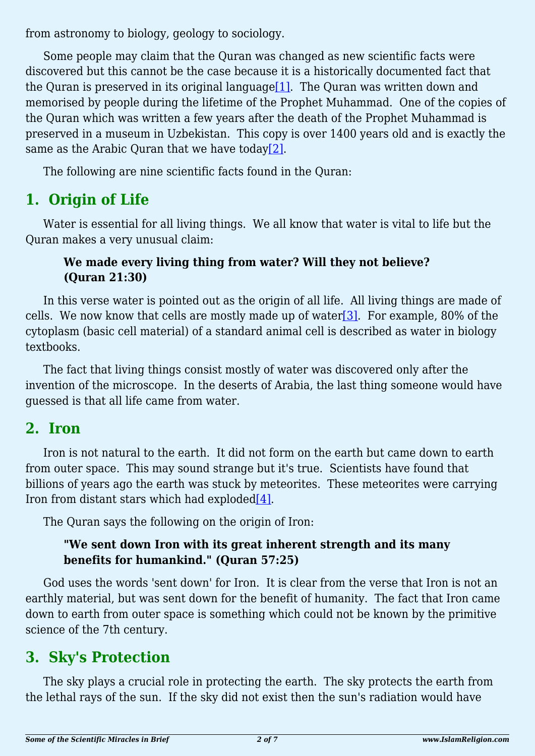from astronomy to biology, geology to sociology.

<span id="page-1-0"></span>Some people may claim that the Quran was changed as new scientific facts were discovered but this cannot be the case because it is a historically documented fact that the Ouran is preserved in its original language<sup>[1]</sup>. The Ouran was written down and memorised by people during the lifetime of the Prophet Muhammad. One of the copies of the Quran which was written a few years after the death of the Prophet Muhammad is preserved in a museum in Uzbekistan. This copy is over 1400 years old and is exactly the same as the Arabic Quran that we have today $[2]$ .

<span id="page-1-1"></span>The following are nine scientific facts found in the Quran:

# **1. Origin of Life**

Water is essential for all living things. We all know that water is vital to life but the Quran makes a very unusual claim:

#### **We made every living thing from water? Will they not believe? (Quran 21:30)**

<span id="page-1-2"></span>In this verse water is pointed out as the origin of all life. All living things are made of cells. We now know that cells are mostly made up of water  $[3]$ . For example, 80% of the cytoplasm (basic cell material) of a standard animal cell is described as water in biology textbooks.

The fact that living things consist mostly of water was discovered only after the invention of the microscope. In the deserts of Arabia, the last thing someone would have guessed is that all life came from water.

### **2. Iron**

Iron is not natural to the earth. It did not form on the earth but came down to earth from outer space. This may sound strange but it's true. Scientists have found that billions of years ago the earth was stuck by meteorites. These meteorites were carrying Iron from distant stars which had exploded $[4]$ .

<span id="page-1-3"></span>The Quran says the following on the origin of Iron:

#### **"We sent down Iron with its great inherent strength and its many benefits for humankind." (Quran 57:25)**

God uses the words 'sent down' for Iron. It is clear from the verse that Iron is not an earthly material, but was sent down for the benefit of humanity. The fact that Iron came down to earth from outer space is something which could not be known by the primitive science of the 7th century.

# **3. Sky's Protection**

The sky plays a crucial role in protecting the earth. The sky protects the earth from the lethal rays of the sun. If the sky did not exist then the sun's radiation would have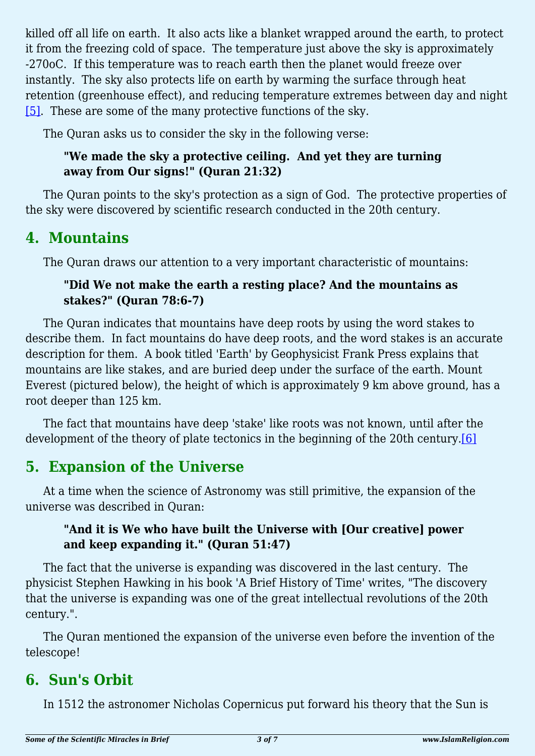killed off all life on earth. It also acts like a blanket wrapped around the earth, to protect it from the freezing cold of space. The temperature just above the sky is approximately -270oC. If this temperature was to reach earth then the planet would freeze over instantly. The sky also protects life on earth by warming the surface through heat retention (greenhouse effect), and reducing temperature extremes between day and night [\[5\].](#page-5-4) These are some of the many protective functions of the sky.

<span id="page-2-0"></span>The Quran asks us to consider the sky in the following verse:

#### **"We made the sky a protective ceiling. And yet they are turning away from Our signs!" (Quran 21:32)**

The Quran points to the sky's protection as a sign of God. The protective properties of the sky were discovered by scientific research conducted in the 20th century.

### **4. Mountains**

The Quran draws our attention to a very important characteristic of mountains:

#### **"Did We not make the earth a resting place? And the mountains as stakes?" (Quran 78:6-7)**

The Quran indicates that mountains have deep roots by using the word stakes to describe them. In fact mountains do have deep roots, and the word stakes is an accurate description for them. A book titled 'Earth' by Geophysicist Frank Press explains that mountains are like stakes, and are buried deep under the surface of the earth. Mount Everest (pictured below), the height of which is approximately 9 km above ground, has a root deeper than 125 km.

<span id="page-2-1"></span>The fact that mountains have deep 'stake' like roots was not known, until after the development of the theory of plate tectonics in the beginning of the 20th century.<sup>[\[6\]](#page-5-5)</sup>

## **5. Expansion of the Universe**

At a time when the science of Astronomy was still primitive, the expansion of the universe was described in Quran:

#### **"And it is We who have built the Universe with [Our creative] power and keep expanding it." (Quran 51:47)**

The fact that the universe is expanding was discovered in the last century. The physicist Stephen Hawking in his book 'A Brief History of Time' writes, "The discovery that the universe is expanding was one of the great intellectual revolutions of the 20th century.".

The Quran mentioned the expansion of the universe even before the invention of the telescope!

# **6. Sun's Orbit**

In 1512 the astronomer Nicholas Copernicus put forward his theory that the Sun is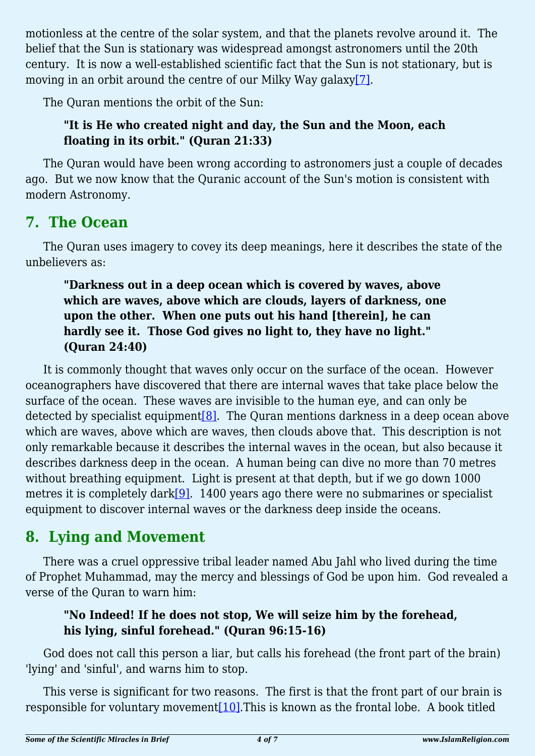motionless at the centre of the solar system, and that the planets revolve around it. The belief that the Sun is stationary was widespread amongst astronomers until the 20th century. It is now a well-established scientific fact that the Sun is not stationary, but is moving in an orbit around the centre of our Milky Way galax[y\[7\].](#page-5-6)

<span id="page-3-0"></span>The Quran mentions the orbit of the Sun:

#### **"It is He who created night and day, the Sun and the Moon, each floating in its orbit." (Quran 21:33)**

The Quran would have been wrong according to astronomers just a couple of decades ago. But we now know that the Quranic account of the Sun's motion is consistent with modern Astronomy.

### **7. The Ocean**

The Quran uses imagery to covey its deep meanings, here it describes the state of the unbelievers as:

#### **"Darkness out in a deep ocean which is covered by waves, above which are waves, above which are clouds, layers of darkness, one upon the other. When one puts out his hand [therein], he can hardly see it. Those God gives no light to, they have no light." (Quran 24:40)**

<span id="page-3-1"></span>It is commonly thought that waves only occur on the surface of the ocean. However oceanographers have discovered that there are internal waves that take place below the surface of the ocean. These waves are invisible to the human eye, and can only be detected by specialist equipment<sup>[\[8\]](#page-5-7)</sup>. The Quran mentions darkness in a deep ocean above which are waves, above which are waves, then clouds above that. This description is not only remarkable because it describes the internal waves in the ocean, but also because it describes darkness deep in the ocean. A human being can dive no more than 70 metres without breathing equipment. Light is present at that depth, but if we go down 1000 metres it is completely dark $[9]$ . 1400 years ago there were no submarines or specialist equipment to discover internal waves or the darkness deep inside the oceans.

## <span id="page-3-2"></span>**8. Lying and Movement**

There was a cruel oppressive tribal leader named Abu Jahl who lived during the time of Prophet Muhammad, may the mercy and blessings of God be upon him. God revealed a verse of the Quran to warn him:

#### **"No Indeed! If he does not stop, We will seize him by the forehead, his lying, sinful forehead." (Quran 96:15-16)**

God does not call this person a liar, but calls his forehead (the front part of the brain) 'lying' and 'sinful', and warns him to stop.

<span id="page-3-3"></span>This verse is significant for two reasons. The first is that the front part of our brain is responsible for voluntary movemen[t\[10\]](#page-5-9).This is known as the frontal lobe. A book titled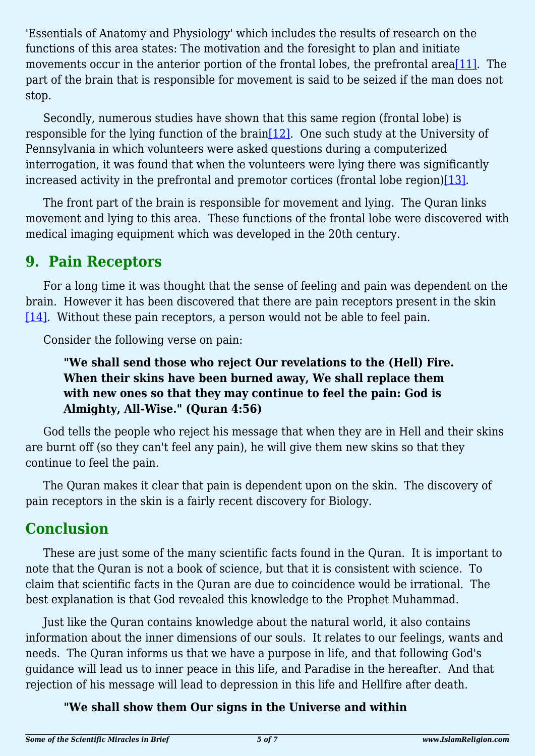<span id="page-4-0"></span>'Essentials of Anatomy and Physiology' which includes the results of research on the functions of this area states: The motivation and the foresight to plan and initiate movements occur in the anterior portion of the frontal lobes, the prefrontal area [\[11\].](#page-5-10) The part of the brain that is responsible for movement is said to be seized if the man does not stop.

<span id="page-4-1"></span>Secondly, numerous studies have shown that this same region (frontal lobe) is responsible for the lying function of the brain[\[12\].](#page-5-11) One such study at the University of Pennsylvania in which volunteers were asked questions during a computerized interrogation, it was found that when the volunteers were lying there was significantly increased activity in the prefrontal and premotor cortices (frontal lobe region) $[13]$ .

<span id="page-4-2"></span>The front part of the brain is responsible for movement and lying. The Quran links movement and lying to this area. These functions of the frontal lobe were discovered with medical imaging equipment which was developed in the 20th century.

### **9. Pain Receptors**

<span id="page-4-3"></span>For a long time it was thought that the sense of feeling and pain was dependent on the brain. However it has been discovered that there are pain receptors present in the skin [\[14\]](#page-5-13). Without these pain receptors, a person would not be able to feel pain.

Consider the following verse on pain:

#### **"We shall send those who reject Our revelations to the (Hell) Fire. When their skins have been burned away, We shall replace them with new ones so that they may continue to feel the pain: God is Almighty, All-Wise." (Quran 4:56)**

God tells the people who reject his message that when they are in Hell and their skins are burnt off (so they can't feel any pain), he will give them new skins so that they continue to feel the pain.

The Quran makes it clear that pain is dependent upon on the skin. The discovery of pain receptors in the skin is a fairly recent discovery for Biology.

## **Conclusion**

These are just some of the many scientific facts found in the Quran. It is important to note that the Quran is not a book of science, but that it is consistent with science. To claim that scientific facts in the Quran are due to coincidence would be irrational. The best explanation is that God revealed this knowledge to the Prophet Muhammad.

Just like the Quran contains knowledge about the natural world, it also contains information about the inner dimensions of our souls. It relates to our feelings, wants and needs. The Quran informs us that we have a purpose in life, and that following God's guidance will lead us to inner peace in this life, and Paradise in the hereafter. And that rejection of his message will lead to depression in this life and Hellfire after death.

#### **"We shall show them Our signs in the Universe and within**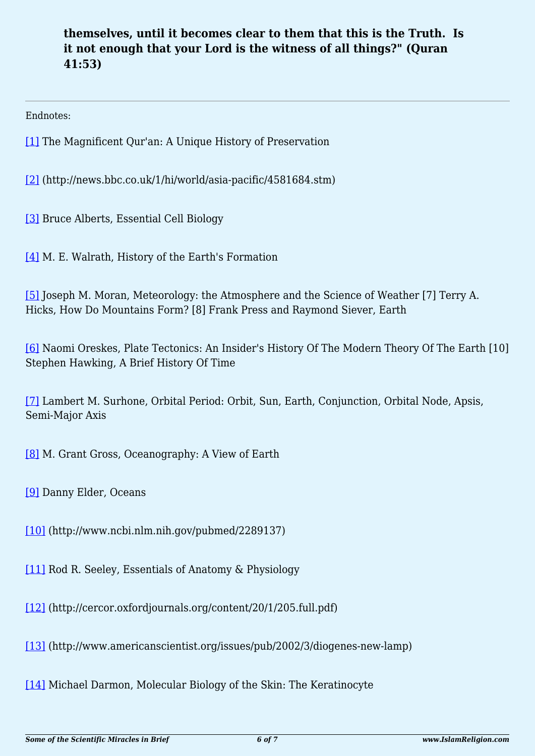#### **themselves, until it becomes clear to them that this is the Truth. Is it not enough that your Lord is the witness of all things?" (Quran 41:53)**

<span id="page-5-0"></span>Endnotes:

[\[1\]](#page-1-0) The Magnificent Qur'an: A Unique History of Preservation

<span id="page-5-1"></span>[\[2\]](#page-1-1) (http://news.bbc.co.uk/1/hi/world/asia-pacific/4581684.stm)

<span id="page-5-2"></span>[\[3\]](#page-1-2) Bruce Alberts, Essential Cell Biology

<span id="page-5-3"></span>[\[4\]](#page-1-3) M. E. Walrath, History of the Earth's Formation

<span id="page-5-4"></span>[\[5\]](#page-2-0) Joseph M. Moran, Meteorology: the Atmosphere and the Science of Weather [7] Terry A. Hicks, How Do Mountains Form? [8] Frank Press and Raymond Siever, Earth

<span id="page-5-5"></span>[\[6\]](#page-2-1) Naomi Oreskes, Plate Tectonics: An Insider's History Of The Modern Theory Of The Earth [10] Stephen Hawking, A Brief History Of Time

<span id="page-5-6"></span>[\[7\]](#page-3-0) Lambert M. Surhone, Orbital Period: Orbit, Sun, Earth, Conjunction, Orbital Node, Apsis, Semi-Major Axis

<span id="page-5-7"></span>[\[8\]](#page-3-1) M. Grant Gross, Oceanography: A View of Earth

<span id="page-5-8"></span>[\[9\]](#page-3-2) Danny Elder, Oceans

<span id="page-5-9"></span>[\[10\]](#page-3-3) (http://www.ncbi.nlm.nih.gov/pubmed/2289137)

<span id="page-5-10"></span>[\[11\]](#page-4-0) Rod R. Seeley, Essentials of Anatomy & Physiology

<span id="page-5-11"></span>[\[12\]](#page-4-1) (http://cercor.oxfordjournals.org/content/20/1/205.full.pdf)

<span id="page-5-12"></span>[\[13\]](#page-4-2) (http://www.americanscientist.org/issues/pub/2002/3/diogenes-new-lamp)

<span id="page-5-13"></span>[\[14\]](#page-4-3) Michael Darmon, Molecular Biology of the Skin: The Keratinocyte